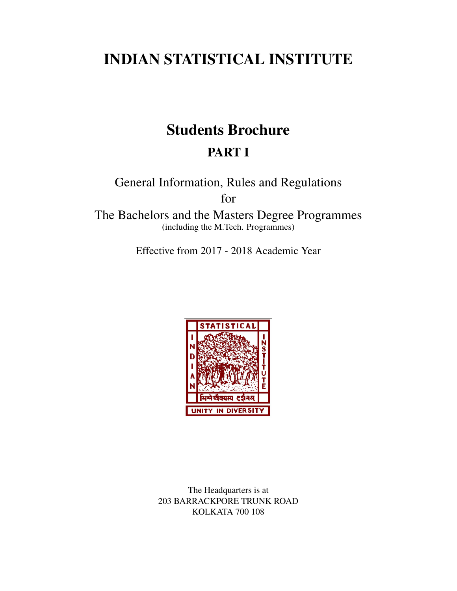# INDIAN STATISTICAL INSTITUTE

# Students Brochure PART I

General Information, Rules and Regulations for

The Bachelors and the Masters Degree Programmes (including the M.Tech. Programmes)

Effective from 2017 - 2018 Academic Year



The Headquarters is at 203 BARRACKPORE TRUNK ROAD KOLKATA 700 108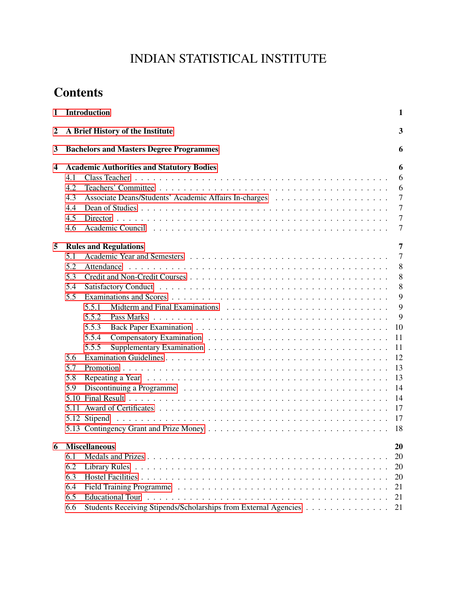# INDIAN STATISTICAL INSTITUTE

# **Contents**

| 1                       | Introduction                                                                                                                                                                                                                                                                      | 1                                                                                                                   |
|-------------------------|-----------------------------------------------------------------------------------------------------------------------------------------------------------------------------------------------------------------------------------------------------------------------------------|---------------------------------------------------------------------------------------------------------------------|
| 2                       | A Brief History of the Institute                                                                                                                                                                                                                                                  | 3                                                                                                                   |
| 3                       | <b>Bachelors and Masters Degree Programmes</b>                                                                                                                                                                                                                                    | 6                                                                                                                   |
| $\overline{\mathbf{4}}$ | <b>Academic Authorities and Statutory Bodies</b><br>4.1<br>4.2<br>4.3<br>4.4<br>4.5<br>4.6                                                                                                                                                                                        | 6<br>6<br>6<br>$\tau$<br>$\overline{7}$<br>$\tau$<br>7                                                              |
| 5                       | <b>Rules and Regulations</b><br>5.1<br>5.2<br>Attendance<br>5.3<br>5.4<br>5.5<br>5.5.1<br>5.5.2<br>5.5.3<br>5.5.4<br>5.5.5<br>5.6<br>5.7<br>5.8<br>5.9<br>Discontinuing a Programme $\ldots \ldots \ldots \ldots \ldots \ldots \ldots \ldots \ldots \ldots \ldots \ldots$<br>5.10 | 7<br>$\overline{7}$<br>8<br>8<br>8<br>9<br>9<br>9<br>10<br>11<br>11<br>12<br>13<br>13<br>14<br>14<br>17<br>17<br>18 |
| 6                       | <b>Miscellaneous</b><br>6.1<br>6.2<br>6.3<br>6.4<br>6.5<br>Students Receiving Stipends/Scholarships from External Agencies<br>6.6                                                                                                                                                 | 20<br>20<br>20<br>20<br>21<br>21<br>21                                                                              |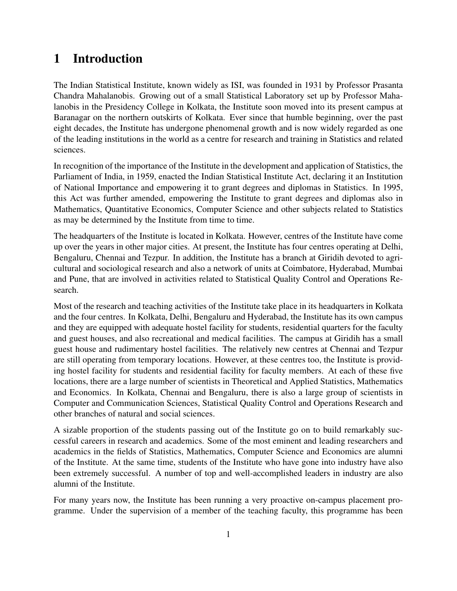## <span id="page-5-0"></span>1 Introduction

The Indian Statistical Institute, known widely as ISI, was founded in 1931 by Professor Prasanta Chandra Mahalanobis. Growing out of a small Statistical Laboratory set up by Professor Mahalanobis in the Presidency College in Kolkata, the Institute soon moved into its present campus at Baranagar on the northern outskirts of Kolkata. Ever since that humble beginning, over the past eight decades, the Institute has undergone phenomenal growth and is now widely regarded as one of the leading institutions in the world as a centre for research and training in Statistics and related sciences.

In recognition of the importance of the Institute in the development and application of Statistics, the Parliament of India, in 1959, enacted the Indian Statistical Institute Act, declaring it an Institution of National Importance and empowering it to grant degrees and diplomas in Statistics. In 1995, this Act was further amended, empowering the Institute to grant degrees and diplomas also in Mathematics, Quantitative Economics, Computer Science and other subjects related to Statistics as may be determined by the Institute from time to time.

The headquarters of the Institute is located in Kolkata. However, centres of the Institute have come up over the years in other major cities. At present, the Institute has four centres operating at Delhi, Bengaluru, Chennai and Tezpur. In addition, the Institute has a branch at Giridih devoted to agricultural and sociological research and also a network of units at Coimbatore, Hyderabad, Mumbai and Pune, that are involved in activities related to Statistical Quality Control and Operations Research.

Most of the research and teaching activities of the Institute take place in its headquarters in Kolkata and the four centres. In Kolkata, Delhi, Bengaluru and Hyderabad, the Institute has its own campus and they are equipped with adequate hostel facility for students, residential quarters for the faculty and guest houses, and also recreational and medical facilities. The campus at Giridih has a small guest house and rudimentary hostel facilities. The relatively new centres at Chennai and Tezpur are still operating from temporary locations. However, at these centres too, the Institute is providing hostel facility for students and residential facility for faculty members. At each of these five locations, there are a large number of scientists in Theoretical and Applied Statistics, Mathematics and Economics. In Kolkata, Chennai and Bengaluru, there is also a large group of scientists in Computer and Communication Sciences, Statistical Quality Control and Operations Research and other branches of natural and social sciences.

A sizable proportion of the students passing out of the Institute go on to build remarkably successful careers in research and academics. Some of the most eminent and leading researchers and academics in the fields of Statistics, Mathematics, Computer Science and Economics are alumni of the Institute. At the same time, students of the Institute who have gone into industry have also been extremely successful. A number of top and well-accomplished leaders in industry are also alumni of the Institute.

For many years now, the Institute has been running a very proactive on-campus placement programme. Under the supervision of a member of the teaching faculty, this programme has been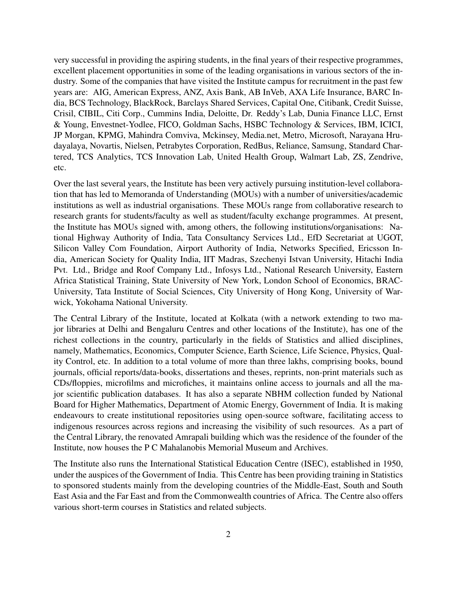very successful in providing the aspiring students, in the final years of their respective programmes, excellent placement opportunities in some of the leading organisations in various sectors of the industry. Some of the companies that have visited the Institute campus for recruitment in the past few years are: AIG, American Express, ANZ, Axis Bank, AB InVeb, AXA Life Insurance, BARC India, BCS Technology, BlackRock, Barclays Shared Services, Capital One, Citibank, Credit Suisse, Crisil, CIBIL, Citi Corp., Cummins India, Deloitte, Dr. Reddy's Lab, Dunia Finance LLC, Ernst & Young, Envestnet-Yodlee, FICO, Goldman Sachs, HSBC Technology & Services, IBM, ICICI, JP Morgan, KPMG, Mahindra Comviva, Mckinsey, Media.net, Metro, Microsoft, Narayana Hrudayalaya, Novartis, Nielsen, Petrabytes Corporation, RedBus, Reliance, Samsung, Standard Chartered, TCS Analytics, TCS Innovation Lab, United Health Group, Walmart Lab, ZS, Zendrive, etc.

Over the last several years, the Institute has been very actively pursuing institution-level collaboration that has led to Memoranda of Understanding (MOUs) with a number of universities/academic institutions as well as industrial organisations. These MOUs range from collaborative research to research grants for students/faculty as well as student/faculty exchange programmes. At present, the Institute has MOUs signed with, among others, the following institutions/organisations: National Highway Authority of India, Tata Consultancy Services Ltd., EfD Secretariat at UGOT, Silicon Valley Com Foundation, Airport Authority of India, Networks Specified, Ericsson India, American Society for Quality India, IIT Madras, Szechenyi Istvan University, Hitachi India Pvt. Ltd., Bridge and Roof Company Ltd., Infosys Ltd., National Research University, Eastern Africa Statistical Training, State University of New York, London School of Economics, BRAC-University, Tata Institute of Social Sciences, City University of Hong Kong, University of Warwick, Yokohama National University.

The Central Library of the Institute, located at Kolkata (with a network extending to two major libraries at Delhi and Bengaluru Centres and other locations of the Institute), has one of the richest collections in the country, particularly in the fields of Statistics and allied disciplines, namely, Mathematics, Economics, Computer Science, Earth Science, Life Science, Physics, Quality Control, etc. In addition to a total volume of more than three lakhs, comprising books, bound journals, official reports/data-books, dissertations and theses, reprints, non-print materials such as CDs/floppies, microfilms and microfiches, it maintains online access to journals and all the major scientific publication databases. It has also a separate NBHM collection funded by National Board for Higher Mathematics, Department of Atomic Energy, Government of India. It is making endeavours to create institutional repositories using open-source software, facilitating access to indigenous resources across regions and increasing the visibility of such resources. As a part of the Central Library, the renovated Amrapali building which was the residence of the founder of the Institute, now houses the P C Mahalanobis Memorial Museum and Archives.

The Institute also runs the International Statistical Education Centre (ISEC), established in 1950, under the auspices of the Government of India. This Centre has been providing training in Statistics to sponsored students mainly from the developing countries of the Middle-East, South and South East Asia and the Far East and from the Commonwealth countries of Africa. The Centre also offers various short-term courses in Statistics and related subjects.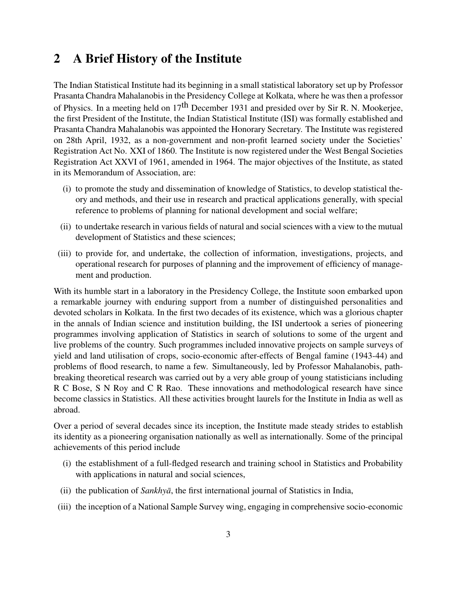## <span id="page-7-0"></span>2 A Brief History of the Institute

The Indian Statistical Institute had its beginning in a small statistical laboratory set up by Professor Prasanta Chandra Mahalanobis in the Presidency College at Kolkata, where he was then a professor of Physics. In a meeting held on  $17<sup>th</sup>$  December 1931 and presided over by Sir R. N. Mookerjee, the first President of the Institute, the Indian Statistical Institute (ISI) was formally established and Prasanta Chandra Mahalanobis was appointed the Honorary Secretary. The Institute was registered on 28th April, 1932, as a non-government and non-profit learned society under the Societies' Registration Act No. XXI of 1860. The Institute is now registered under the West Bengal Societies Registration Act XXVI of 1961, amended in 1964. The major objectives of the Institute, as stated in its Memorandum of Association, are:

- (i) to promote the study and dissemination of knowledge of Statistics, to develop statistical theory and methods, and their use in research and practical applications generally, with special reference to problems of planning for national development and social welfare;
- (ii) to undertake research in various fields of natural and social sciences with a view to the mutual development of Statistics and these sciences;
- (iii) to provide for, and undertake, the collection of information, investigations, projects, and operational research for purposes of planning and the improvement of efficiency of management and production.

With its humble start in a laboratory in the Presidency College, the Institute soon embarked upon a remarkable journey with enduring support from a number of distinguished personalities and devoted scholars in Kolkata. In the first two decades of its existence, which was a glorious chapter in the annals of Indian science and institution building, the ISI undertook a series of pioneering programmes involving application of Statistics in search of solutions to some of the urgent and live problems of the country. Such programmes included innovative projects on sample surveys of yield and land utilisation of crops, socio-economic after-effects of Bengal famine (1943-44) and problems of flood research, to name a few. Simultaneously, led by Professor Mahalanobis, pathbreaking theoretical research was carried out by a very able group of young statisticians including R C Bose, S N Roy and C R Rao. These innovations and methodological research have since become classics in Statistics. All these activities brought laurels for the Institute in India as well as abroad.

Over a period of several decades since its inception, the Institute made steady strides to establish its identity as a pioneering organisation nationally as well as internationally. Some of the principal achievements of this period include

- (i) the establishment of a full-fledged research and training school in Statistics and Probability with applications in natural and social sciences,
- (ii) the publication of *Sankhyā*, the first international journal of Statistics in India,
- (iii) the inception of a National Sample Survey wing, engaging in comprehensive socio-economic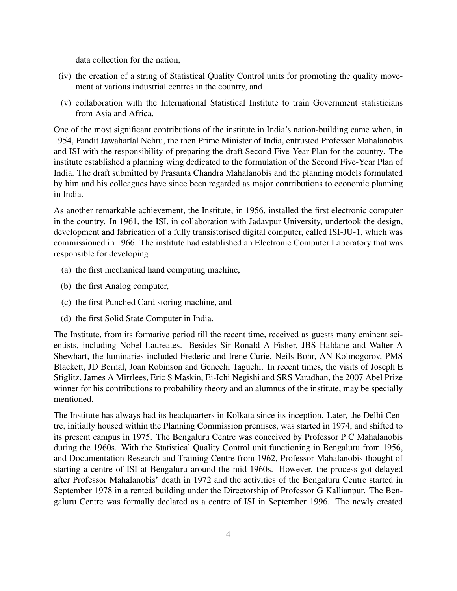data collection for the nation,

- (iv) the creation of a string of Statistical Quality Control units for promoting the quality movement at various industrial centres in the country, and
- (v) collaboration with the International Statistical Institute to train Government statisticians from Asia and Africa.

One of the most significant contributions of the institute in India's nation-building came when, in 1954, Pandit Jawaharlal Nehru, the then Prime Minister of India, entrusted Professor Mahalanobis and ISI with the responsibility of preparing the draft Second Five-Year Plan for the country. The institute established a planning wing dedicated to the formulation of the Second Five-Year Plan of India. The draft submitted by Prasanta Chandra Mahalanobis and the planning models formulated by him and his colleagues have since been regarded as major contributions to economic planning in India.

As another remarkable achievement, the Institute, in 1956, installed the first electronic computer in the country. In 1961, the ISI, in collaboration with Jadavpur University, undertook the design, development and fabrication of a fully transistorised digital computer, called ISI-JU-1, which was commissioned in 1966. The institute had established an Electronic Computer Laboratory that was responsible for developing

- (a) the first mechanical hand computing machine,
- (b) the first Analog computer,
- (c) the first Punched Card storing machine, and
- (d) the first Solid State Computer in India.

The Institute, from its formative period till the recent time, received as guests many eminent scientists, including Nobel Laureates. Besides Sir Ronald A Fisher, JBS Haldane and Walter A Shewhart, the luminaries included Frederic and Irene Curie, Neils Bohr, AN Kolmogorov, PMS Blackett, JD Bernal, Joan Robinson and Genechi Taguchi. In recent times, the visits of Joseph E Stiglitz, James A Mirrlees, Eric S Maskin, Ei-Ichi Negishi and SRS Varadhan, the 2007 Abel Prize winner for his contributions to probability theory and an alumnus of the institute, may be specially mentioned.

The Institute has always had its headquarters in Kolkata since its inception. Later, the Delhi Centre, initially housed within the Planning Commission premises, was started in 1974, and shifted to its present campus in 1975. The Bengaluru Centre was conceived by Professor P C Mahalanobis during the 1960s. With the Statistical Quality Control unit functioning in Bengaluru from 1956, and Documentation Research and Training Centre from 1962, Professor Mahalanobis thought of starting a centre of ISI at Bengaluru around the mid-1960s. However, the process got delayed after Professor Mahalanobis' death in 1972 and the activities of the Bengaluru Centre started in September 1978 in a rented building under the Directorship of Professor G Kallianpur. The Bengaluru Centre was formally declared as a centre of ISI in September 1996. The newly created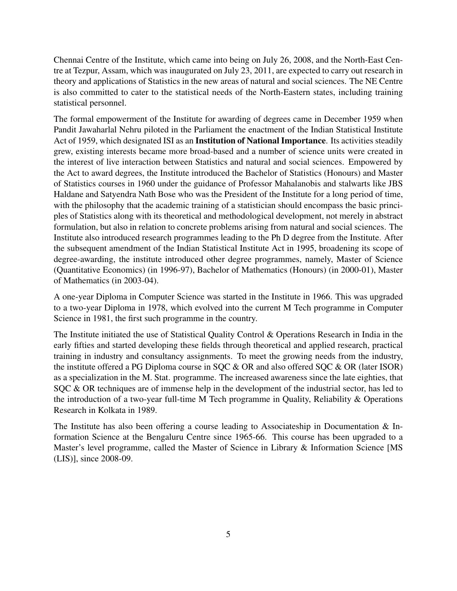Chennai Centre of the Institute, which came into being on July 26, 2008, and the North-East Centre at Tezpur, Assam, which was inaugurated on July 23, 2011, are expected to carry out research in theory and applications of Statistics in the new areas of natural and social sciences. The NE Centre is also committed to cater to the statistical needs of the North-Eastern states, including training statistical personnel.

The formal empowerment of the Institute for awarding of degrees came in December 1959 when Pandit Jawaharlal Nehru piloted in the Parliament the enactment of the Indian Statistical Institute Act of 1959, which designated ISI as an Institution of National Importance. Its activities steadily grew, existing interests became more broad-based and a number of science units were created in the interest of live interaction between Statistics and natural and social sciences. Empowered by the Act to award degrees, the Institute introduced the Bachelor of Statistics (Honours) and Master of Statistics courses in 1960 under the guidance of Professor Mahalanobis and stalwarts like JBS Haldane and Satyendra Nath Bose who was the President of the Institute for a long period of time, with the philosophy that the academic training of a statistician should encompass the basic principles of Statistics along with its theoretical and methodological development, not merely in abstract formulation, but also in relation to concrete problems arising from natural and social sciences. The Institute also introduced research programmes leading to the Ph D degree from the Institute. After the subsequent amendment of the Indian Statistical Institute Act in 1995, broadening its scope of degree-awarding, the institute introduced other degree programmes, namely, Master of Science (Quantitative Economics) (in 1996-97), Bachelor of Mathematics (Honours) (in 2000-01), Master of Mathematics (in 2003-04).

A one-year Diploma in Computer Science was started in the Institute in 1966. This was upgraded to a two-year Diploma in 1978, which evolved into the current M Tech programme in Computer Science in 1981, the first such programme in the country.

The Institute initiated the use of Statistical Quality Control & Operations Research in India in the early fifties and started developing these fields through theoretical and applied research, practical training in industry and consultancy assignments. To meet the growing needs from the industry, the institute offered a PG Diploma course in SQC & OR and also offered SQC & OR (later ISOR) as a specialization in the M. Stat. programme. The increased awareness since the late eighties, that SQC & OR techniques are of immense help in the development of the industrial sector, has led to the introduction of a two-year full-time M Tech programme in Quality, Reliability & Operations Research in Kolkata in 1989.

The Institute has also been offering a course leading to Associateship in Documentation & Information Science at the Bengaluru Centre since 1965-66. This course has been upgraded to a Master's level programme, called the Master of Science in Library & Information Science [MS (LIS)], since 2008-09.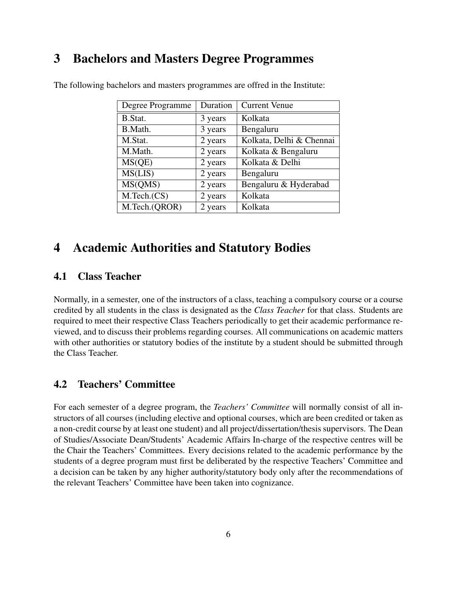## <span id="page-10-0"></span>3 Bachelors and Masters Degree Programmes

| Degree Programme | Duration | <b>Current Venue</b>     |
|------------------|----------|--------------------------|
| B.Stat.          | 3 years  | Kolkata                  |
| B.Math.          | 3 years  | Bengaluru                |
| M.Stat.          | 2 years  | Kolkata, Delhi & Chennai |
| M.Math.          | 2 years  | Kolkata & Bengaluru      |
| MS(QE)           | 2 years  | Kolkata & Delhi          |
| MS(LIS)          | 2 years  | Bengaluru                |
| MS(QMS)          | 2 years  | Bengaluru & Hyderabad    |
| M.Tech.(CS)      | 2 years  | Kolkata                  |
| M.Tech.(QROR)    | 2 years  | Kolkata                  |

The following bachelors and masters programmes are offred in the Institute:

## <span id="page-10-1"></span>4 Academic Authorities and Statutory Bodies

## <span id="page-10-2"></span>4.1 Class Teacher

Normally, in a semester, one of the instructors of a class, teaching a compulsory course or a course credited by all students in the class is designated as the *Class Teacher* for that class. Students are required to meet their respective Class Teachers periodically to get their academic performance reviewed, and to discuss their problems regarding courses. All communications on academic matters with other authorities or statutory bodies of the institute by a student should be submitted through the Class Teacher.

## <span id="page-10-3"></span>4.2 Teachers' Committee

For each semester of a degree program, the *Teachers' Committee* will normally consist of all instructors of all courses (including elective and optional courses, which are been credited or taken as a non-credit course by at least one student) and all project/dissertation/thesis supervisors. The Dean of Studies/Associate Dean/Students' Academic Affairs In-charge of the respective centres will be the Chair the Teachers' Committees. Every decisions related to the academic performance by the students of a degree program must first be deliberated by the respective Teachers' Committee and a decision can be taken by any higher authority/statutory body only after the recommendations of the relevant Teachers' Committee have been taken into cognizance.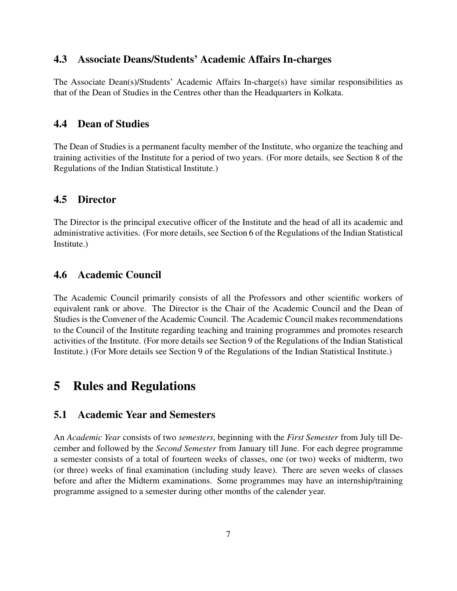### <span id="page-11-0"></span>4.3 Associate Deans/Students' Academic Affairs In-charges

The Associate Dean(s)/Students' Academic Affairs In-charge(s) have similar responsibilities as that of the Dean of Studies in the Centres other than the Headquarters in Kolkata.

### <span id="page-11-1"></span>4.4 Dean of Studies

The Dean of Studies is a permanent faculty member of the Institute, who organize the teaching and training activities of the Institute for a period of two years. (For more details, see Section 8 of the Regulations of the Indian Statistical Institute.)

### <span id="page-11-2"></span>4.5 Director

The Director is the principal executive officer of the Institute and the head of all its academic and administrative activities. (For more details, see Section 6 of the Regulations of the Indian Statistical Institute.)

### <span id="page-11-3"></span>4.6 Academic Council

The Academic Council primarily consists of all the Professors and other scientific workers of equivalent rank or above. The Director is the Chair of the Academic Council and the Dean of Studies is the Convener of the Academic Council. The Academic Council makes recommendations to the Council of the Institute regarding teaching and training programmes and promotes research activities of the Institute. (For more details see Section 9 of the Regulations of the Indian Statistical Institute.) (For More details see Section 9 of the Regulations of the Indian Statistical Institute.)

## <span id="page-11-4"></span>5 Rules and Regulations

### <span id="page-11-5"></span>5.1 Academic Year and Semesters

An *Academic Year* consists of two *semesters*, beginning with the *First Semester* from July till December and followed by the *Second Semester* from January till June. For each degree programme a semester consists of a total of fourteen weeks of classes, one (or two) weeks of midterm, two (or three) weeks of final examination (including study leave). There are seven weeks of classes before and after the Midterm examinations. Some programmes may have an internship/training programme assigned to a semester during other months of the calender year.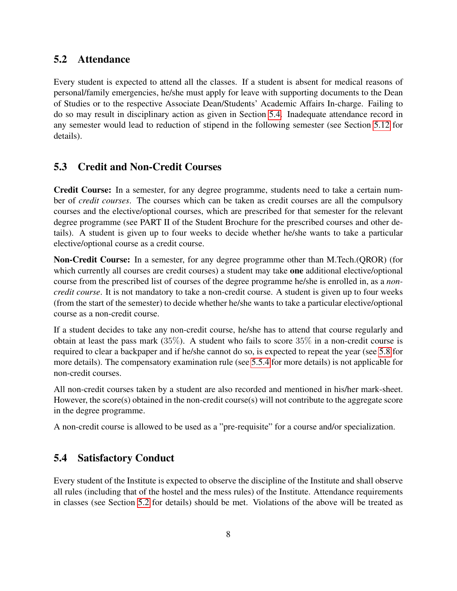## <span id="page-12-0"></span>5.2 Attendance

Every student is expected to attend all the classes. If a student is absent for medical reasons of personal/family emergencies, he/she must apply for leave with supporting documents to the Dean of Studies or to the respective Associate Dean/Students' Academic Affairs In-charge. Failing to do so may result in disciplinary action as given in Section [5.4.](#page-12-2) Inadequate attendance record in any semester would lead to reduction of stipend in the following semester (see Section [5.12](#page-21-1) for details).

## <span id="page-12-1"></span>5.3 Credit and Non-Credit Courses

Credit Course: In a semester, for any degree programme, students need to take a certain number of *credit courses*. The courses which can be taken as credit courses are all the compulsory courses and the elective/optional courses, which are prescribed for that semester for the relevant degree programme (see PART II of the Student Brochure for the prescribed courses and other details). A student is given up to four weeks to decide whether he/she wants to take a particular elective/optional course as a credit course.

Non-Credit Course: In a semester, for any degree programme other than M.Tech.(QROR) (for which currently all courses are credit courses) a student may take one additional elective/optional course from the prescribed list of courses of the degree programme he/she is enrolled in, as a *noncredit course*. It is not mandatory to take a non-credit course. A student is given up to four weeks (from the start of the semester) to decide whether he/she wants to take a particular elective/optional course as a non-credit course.

If a student decides to take any non-credit course, he/she has to attend that course regularly and obtain at least the pass mark (35%). A student who fails to score 35% in a non-credit course is required to clear a backpaper and if he/she cannot do so, is expected to repeat the year (see [5.8](#page-17-1) for more details). The compensatory examination rule (see [5.5.4](#page-15-0) for more details) is not applicable for non-credit courses.

All non-credit courses taken by a student are also recorded and mentioned in his/her mark-sheet. However, the score(s) obtained in the non-credit course(s) will not contribute to the aggregate score in the degree programme.

A non-credit course is allowed to be used as a "pre-requisite" for a course and/or specialization.

## <span id="page-12-2"></span>5.4 Satisfactory Conduct

Every student of the Institute is expected to observe the discipline of the Institute and shall observe all rules (including that of the hostel and the mess rules) of the Institute. Attendance requirements in classes (see Section [5.2](#page-12-0) for details) should be met. Violations of the above will be treated as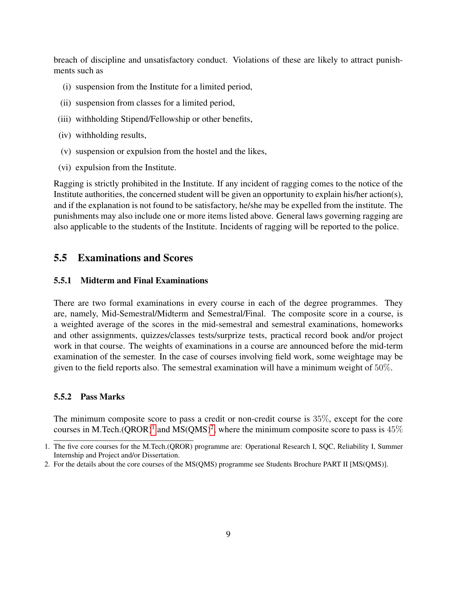breach of discipline and unsatisfactory conduct. Violations of these are likely to attract punishments such as

- (i) suspension from the Institute for a limited period,
- (ii) suspension from classes for a limited period,
- (iii) withholding Stipend/Fellowship or other benefits,
- (iv) withholding results,
- (v) suspension or expulsion from the hostel and the likes,
- (vi) expulsion from the Institute.

Ragging is strictly prohibited in the Institute. If any incident of ragging comes to the notice of the Institute authorities, the concerned student will be given an opportunity to explain his/her action(s), and if the explanation is not found to be satisfactory, he/she may be expelled from the institute. The punishments may also include one or more items listed above. General laws governing ragging are also applicable to the students of the Institute. Incidents of ragging will be reported to the police.

### <span id="page-13-0"></span>5.5 Examinations and Scores

#### <span id="page-13-1"></span>5.5.1 Midterm and Final Examinations

There are two formal examinations in every course in each of the degree programmes. They are, namely, Mid-Semestral/Midterm and Semestral/Final. The composite score in a course, is a weighted average of the scores in the mid-semestral and semestral examinations, homeworks and other assignments, quizzes/classes tests/surprize tests, practical record book and/or project work in that course. The weights of examinations in a course are announced before the mid-term examination of the semester. In the case of courses involving field work, some weightage may be given to the field reports also. The semestral examination will have a minimum weight of 50%.

#### <span id="page-13-2"></span>5.5.2 Pass Marks

The minimum composite score to pass a credit or non-credit course is 35%, except for the core courses in M.Tech.(QROR)<sup>[1](#page-13-3)</sup> and MS(QMS)<sup>[2](#page-13-4)</sup>, where the minimum composite score to pass is  $45\%$ 

<span id="page-13-3"></span><sup>1.</sup> The five core courses for the M.Tech.(QROR) programme are: Operational Research I, SQC, Reliability I, Summer Internship and Project and/or Dissertation.

<span id="page-13-4"></span><sup>2.</sup> For the details about the core courses of the MS(QMS) programme see Students Brochure PART II [MS(QMS)].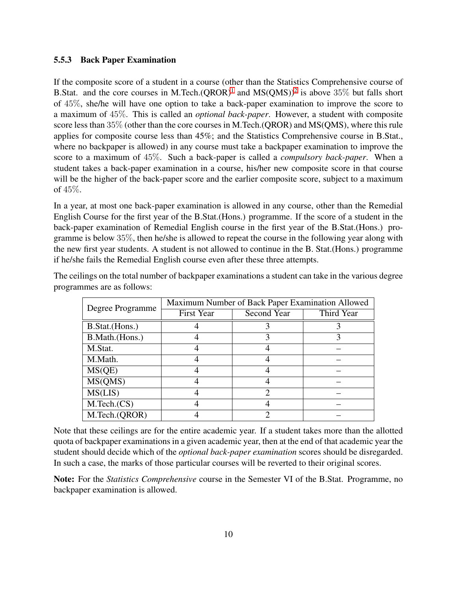#### <span id="page-14-0"></span>5.5.3 Back Paper Examination

If the composite score of a student in a course (other than the Statistics Comprehensive course of B.Stat. and the core courses in M.Tech. $(QROR)^1$  $(QROR)^1$  and  $MS(QMS))^2$  $MS(QMS))^2$  is above 35% but falls short of 45%, she/he will have one option to take a back-paper examination to improve the score to a maximum of 45%. This is called an *optional back-paper*. However, a student with composite score less than 35% (other than the core courses in M.Tech.(QROR) and MS(QMS), where this rule applies for composite course less than 45%; and the Statistics Comprehensive course in B.Stat., where no backpaper is allowed) in any course must take a backpaper examination to improve the score to a maximum of 45%. Such a back-paper is called a *compulsory back-paper*. When a student takes a back-paper examination in a course, his/her new composite score in that course will be the higher of the back-paper score and the earlier composite score, subject to a maximum of 45%.

In a year, at most one back-paper examination is allowed in any course, other than the Remedial English Course for the first year of the B.Stat.(Hons.) programme. If the score of a student in the back-paper examination of Remedial English course in the first year of the B.Stat.(Hons.) programme is below 35%, then he/she is allowed to repeat the course in the following year along with the new first year students. A student is not allowed to continue in the B. Stat.(Hons.) programme if he/she fails the Remedial English course even after these three attempts.

| Degree Programme | Maximum Number of Back Paper Examination Allowed |             |            |  |  |  |  |  |  |  |
|------------------|--------------------------------------------------|-------------|------------|--|--|--|--|--|--|--|
|                  | <b>First Year</b>                                | Second Year | Third Year |  |  |  |  |  |  |  |
| B.Stat.(Hons.)   |                                                  |             |            |  |  |  |  |  |  |  |
| B.Math.(Hons.)   |                                                  |             |            |  |  |  |  |  |  |  |
| M.Stat.          |                                                  |             |            |  |  |  |  |  |  |  |
| M.Math.          |                                                  |             |            |  |  |  |  |  |  |  |
| MS(QE)           |                                                  |             |            |  |  |  |  |  |  |  |
| MS(QMS)          |                                                  |             |            |  |  |  |  |  |  |  |
| MS(LIS)          |                                                  |             |            |  |  |  |  |  |  |  |
| M.Tech.(CS)      |                                                  |             |            |  |  |  |  |  |  |  |
| M.Tech.(QROR)    |                                                  |             |            |  |  |  |  |  |  |  |

The ceilings on the total number of backpaper examinations a student can take in the various degree programmes are as follows:

Note that these ceilings are for the entire academic year. If a student takes more than the allotted quota of backpaper examinations in a given academic year, then at the end of that academic year the student should decide which of the *optional back-paper examination* scores should be disregarded. In such a case, the marks of those particular courses will be reverted to their original scores.

Note: For the *Statistics Comprehensive* course in the Semester VI of the B.Stat. Programme, no backpaper examination is allowed.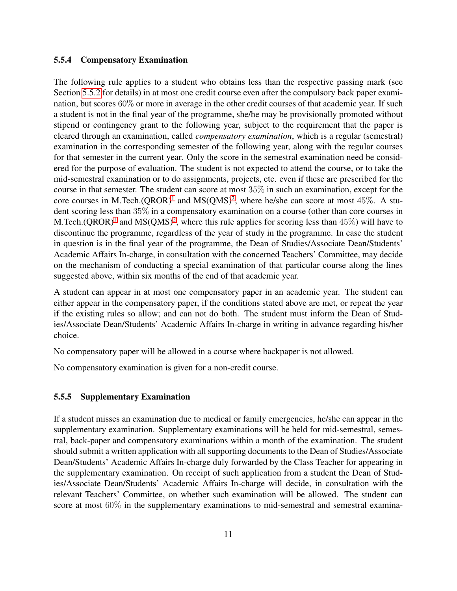#### <span id="page-15-0"></span>5.5.4 Compensatory Examination

The following rule applies to a student who obtains less than the respective passing mark (see Section [5.5.2](#page-13-2) for details) in at most one credit course even after the compulsory back paper examination, but scores 60% or more in average in the other credit courses of that academic year. If such a student is not in the final year of the programme, she/he may be provisionally promoted without stipend or contingency grant to the following year, subject to the requirement that the paper is cleared through an examination, called *compensatory examination*, which is a regular (semestral) examination in the corresponding semester of the following year, along with the regular courses for that semester in the current year. Only the score in the semestral examination need be considered for the purpose of evaluation. The student is not expected to attend the course, or to take the mid-semestral examination or to do assignments, projects, etc. even if these are prescribed for the course in that semester. The student can score at most 35% in such an examination, except for the core courses in M.Tech.(QROR)<sup>[1](#page-13-3)</sup> and MS(QMS)<sup>[2](#page-13-4)</sup>, where he/she can score at most 45\%. A student scoring less than 35% in a compensatory examination on a course (other than core courses in M.Tech.(QROR)<sup>[1](#page-13-3)</sup> and MS(QMS)<sup>[2](#page-13-4)</sup>, where this rule applies for scoring less than 45%) will have to discontinue the programme, regardless of the year of study in the programme. In case the student in question is in the final year of the programme, the Dean of Studies/Associate Dean/Students' Academic Affairs In-charge, in consultation with the concerned Teachers' Committee, may decide on the mechanism of conducting a special examination of that particular course along the lines suggested above, within six months of the end of that academic year.

A student can appear in at most one compensatory paper in an academic year. The student can either appear in the compensatory paper, if the conditions stated above are met, or repeat the year if the existing rules so allow; and can not do both. The student must inform the Dean of Studies/Associate Dean/Students' Academic Affairs In-charge in writing in advance regarding his/her choice.

No compensatory paper will be allowed in a course where backpaper is not allowed.

No compensatory examination is given for a non-credit course.

#### <span id="page-15-1"></span>5.5.5 Supplementary Examination

If a student misses an examination due to medical or family emergencies, he/she can appear in the supplementary examination. Supplementary examinations will be held for mid-semestral, semestral, back-paper and compensatory examinations within a month of the examination. The student should submit a written application with all supporting documents to the Dean of Studies/Associate Dean/Students' Academic Affairs In-charge duly forwarded by the Class Teacher for appearing in the supplementary examination. On receipt of such application from a student the Dean of Studies/Associate Dean/Students' Academic Affairs In-charge will decide, in consultation with the relevant Teachers' Committee, on whether such examination will be allowed. The student can score at most 60% in the supplementary examinations to mid-semestral and semestral examina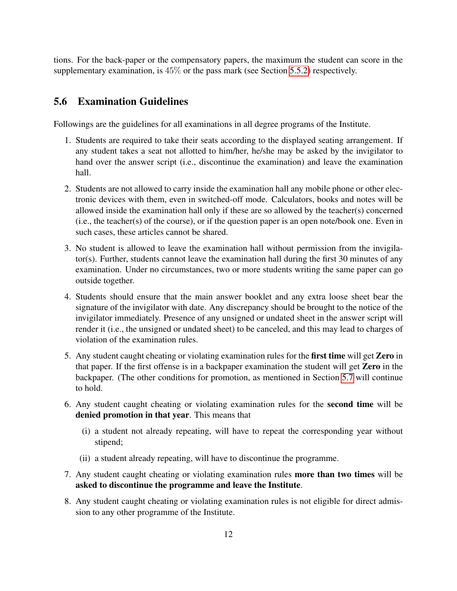tions. For the back-paper or the compensatory papers, the maximum the student can score in the supplementary examination, is 45% or the pass mark (see Section [5.5.2\)](#page-13-2) respectively.

### <span id="page-16-0"></span>5.6 Examination Guidelines

Followings are the guidelines for all examinations in all degree programs of the Institute.

- 1. Students are required to take their seats according to the displayed seating arrangement. If any student takes a seat not allotted to him/her, he/she may be asked by the invigilator to hand over the answer script (i.e., discontinue the examination) and leave the examination hall.
- 2. Students are not allowed to carry inside the examination hall any mobile phone or other electronic devices with them, even in switched-off mode. Calculators, books and notes will be allowed inside the examination hall only if these are so allowed by the teacher(s) concerned (i.e., the teacher(s) of the course), or if the question paper is an open note/book one. Even in such cases, these articles cannot be shared.
- 3. No student is allowed to leave the examination hall without permission from the invigilator(s). Further, students cannot leave the examination hall during the first 30 minutes of any examination. Under no circumstances, two or more students writing the same paper can go outside together.
- 4. Students should ensure that the main answer booklet and any extra loose sheet bear the signature of the invigilator with date. Any discrepancy should be brought to the notice of the invigilator immediately. Presence of any unsigned or undated sheet in the answer script will render it (i.e., the unsigned or undated sheet) to be canceled, and this may lead to charges of violation of the examination rules.
- 5. Any student caught cheating or violating examination rules for the first time will get Zero in that paper. If the first offense is in a backpaper examination the student will get Zero in the backpaper. (The other conditions for promotion, as mentioned in Section [5.7](#page-17-0) will continue to hold.
- 6. Any student caught cheating or violating examination rules for the second time will be denied promotion in that year. This means that
	- (i) a student not already repeating, will have to repeat the corresponding year without stipend;
	- (ii) a student already repeating, will have to discontinue the programme.
- 7. Any student caught cheating or violating examination rules more than two times will be asked to discontinue the programme and leave the Institute.
- 8. Any student caught cheating or violating examination rules is not eligible for direct admission to any other programme of the Institute.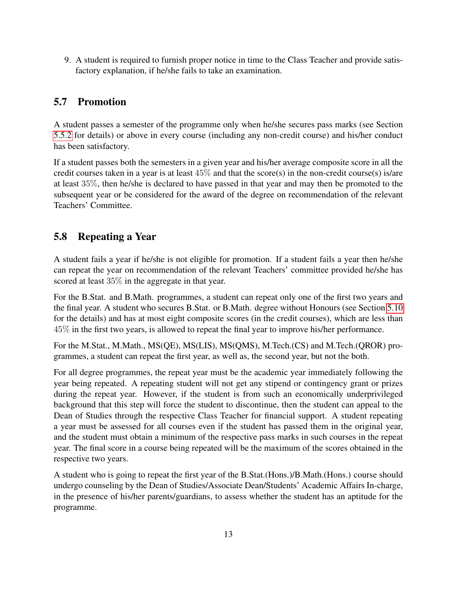9. A student is required to furnish proper notice in time to the Class Teacher and provide satisfactory explanation, if he/she fails to take an examination.

## <span id="page-17-0"></span>5.7 Promotion

A student passes a semester of the programme only when he/she secures pass marks (see Section [5.5.2](#page-13-2) for details) or above in every course (including any non-credit course) and his/her conduct has been satisfactory.

If a student passes both the semesters in a given year and his/her average composite score in all the credit courses taken in a year is at least 45% and that the score(s) in the non-credit course(s) is/are at least 35%, then he/she is declared to have passed in that year and may then be promoted to the subsequent year or be considered for the award of the degree on recommendation of the relevant Teachers' Committee.

## <span id="page-17-1"></span>5.8 Repeating a Year

A student fails a year if he/she is not eligible for promotion. If a student fails a year then he/she can repeat the year on recommendation of the relevant Teachers' committee provided he/she has scored at least 35% in the aggregate in that year.

For the B.Stat. and B.Math. programmes, a student can repeat only one of the first two years and the final year. A student who secures B.Stat. or B.Math. degree without Honours (see Section [5.10](#page-18-1) for the details) and has at most eight composite scores (in the credit courses), which are less than 45% in the first two years, is allowed to repeat the final year to improve his/her performance.

For the M.Stat., M.Math., MS(QE), MS(LIS), MS(QMS), M.Tech.(CS) and M.Tech.(QROR) programmes, a student can repeat the first year, as well as, the second year, but not the both.

For all degree programmes, the repeat year must be the academic year immediately following the year being repeated. A repeating student will not get any stipend or contingency grant or prizes during the repeat year. However, if the student is from such an economically underprivileged background that this step will force the student to discontinue, then the student can appeal to the Dean of Studies through the respective Class Teacher for financial support. A student repeating a year must be assessed for all courses even if the student has passed them in the original year, and the student must obtain a minimum of the respective pass marks in such courses in the repeat year. The final score in a course being repeated will be the maximum of the scores obtained in the respective two years.

A student who is going to repeat the first year of the B.Stat.(Hons.)/B.Math.(Hons.) course should undergo counseling by the Dean of Studies/Associate Dean/Students' Academic Affairs In-charge, in the presence of his/her parents/guardians, to assess whether the student has an aptitude for the programme.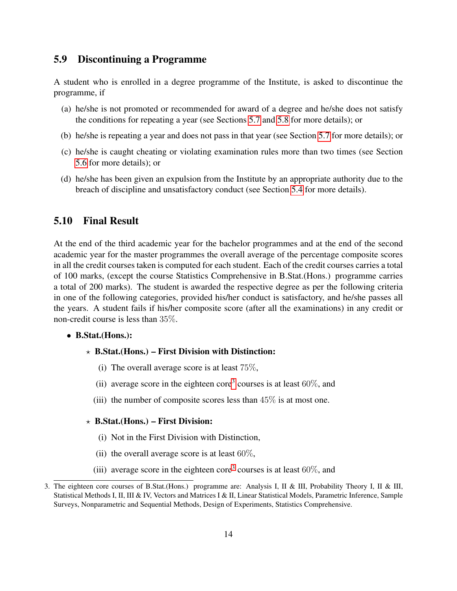## <span id="page-18-0"></span>5.9 Discontinuing a Programme

A student who is enrolled in a degree programme of the Institute, is asked to discontinue the programme, if

- (a) he/she is not promoted or recommended for award of a degree and he/she does not satisfy the conditions for repeating a year (see Sections [5.7](#page-17-0) and [5.8](#page-17-1) for more details); or
- (b) he/she is repeating a year and does not pass in that year (see Section [5.7](#page-17-0) for more details); or
- (c) he/she is caught cheating or violating examination rules more than two times (see Section [5.6](#page-16-0) for more details); or
- (d) he/she has been given an expulsion from the Institute by an appropriate authority due to the breach of discipline and unsatisfactory conduct (see Section [5.4](#page-12-2) for more details).

### <span id="page-18-1"></span>5.10 Final Result

At the end of the third academic year for the bachelor programmes and at the end of the second academic year for the master programmes the overall average of the percentage composite scores in all the credit courses taken is computed for each student. Each of the credit courses carries a total of 100 marks, (except the course Statistics Comprehensive in B.Stat.(Hons.) programme carries a total of 200 marks). The student is awarded the respective degree as per the following criteria in one of the following categories, provided his/her conduct is satisfactory, and he/she passes all the years. A student fails if his/her composite score (after all the examinations) in any credit or non-credit course is less than 35%.

#### • B.Stat.(Hons.):

#### $\star$  B.Stat.(Hons.) – First Division with Distinction:

- (i) The overall average score is at least  $75\%,$
- (ii) average score in the eighteen core<sup>[3](#page-18-2)</sup> courses is at least  $60\%$ , and
- (iii) the number of composite scores less than  $45\%$  is at most one.

#### $\star$  B.Stat.(Hons.) – First Division:

- (i) Not in the First Division with Distinction,
- (ii) the overall average score is at least  $60\%,$
- (iii) average score in the eighteen core<sup>[3](#page-18-2)</sup> courses is at least  $60\%$ , and

<span id="page-18-2"></span><sup>3.</sup> The eighteen core courses of B.Stat.(Hons.) programme are: Analysis I, II & III, Probability Theory I, II & III, Statistical Methods I, II, III & IV, Vectors and Matrices I & II, Linear Statistical Models, Parametric Inference, Sample Surveys, Nonparametric and Sequential Methods, Design of Experiments, Statistics Comprehensive.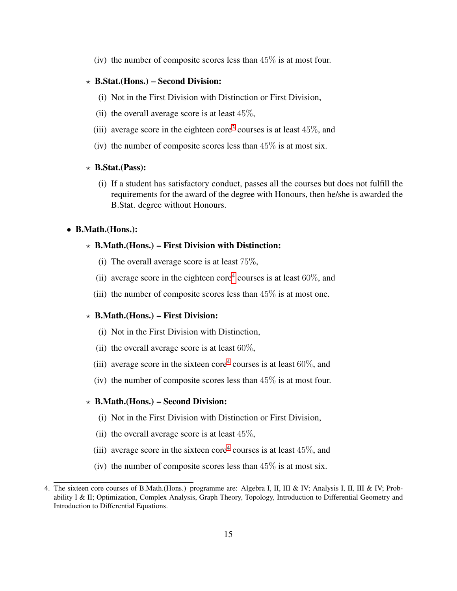(iv) the number of composite scores less than  $45\%$  is at most four.

#### $\star$  B.Stat.(Hons.) – Second Division:

- (i) Not in the First Division with Distinction or First Division,
- (ii) the overall average score is at least  $45\%,$
- (iii) average score in the eighteen core<sup>[3](#page-18-2)</sup> courses is at least  $45\%$ , and
- (iv) the number of composite scores less than  $45\%$  is at most six.

#### $\star$  B.Stat.(Pass):

(i) If a student has satisfactory conduct, passes all the courses but does not fulfill the requirements for the award of the degree with Honours, then he/she is awarded the B.Stat. degree without Honours.

#### • B.Math.(Hons.):

#### $\star$  B.Math.(Hons.) – First Division with Distinction:

- (i) The overall average score is at least 75%,
- (ii) average score in the eighteen core<sup>[4](#page-19-0)</sup> courses is at least  $60\%$ , and
- (iii) the number of composite scores less than  $45\%$  is at most one.

#### $\star$  B.Math.(Hons.) – First Division:

- (i) Not in the First Division with Distinction,
- (ii) the overall average score is at least  $60\%,$
- (iii) average score in the sixteen core<sup>[4](#page-19-0)</sup> courses is at least  $60\%$ , and
- (iv) the number of composite scores less than  $45\%$  is at most four.

#### $\star$  B.Math.(Hons.) – Second Division:

- (i) Not in the First Division with Distinction or First Division,
- (ii) the overall average score is at least  $45\%$ ,
- (iii) average score in the sixteen core<sup>[4](#page-19-0)</sup> courses is at least  $45\%$ , and
- (iv) the number of composite scores less than  $45\%$  is at most six.

<span id="page-19-0"></span><sup>4.</sup> The sixteen core courses of B.Math.(Hons.) programme are: Algebra I, II, III & IV; Analysis I, II, III & IV; Probability I & II; Optimization, Complex Analysis, Graph Theory, Topology, Introduction to Differential Geometry and Introduction to Differential Equations.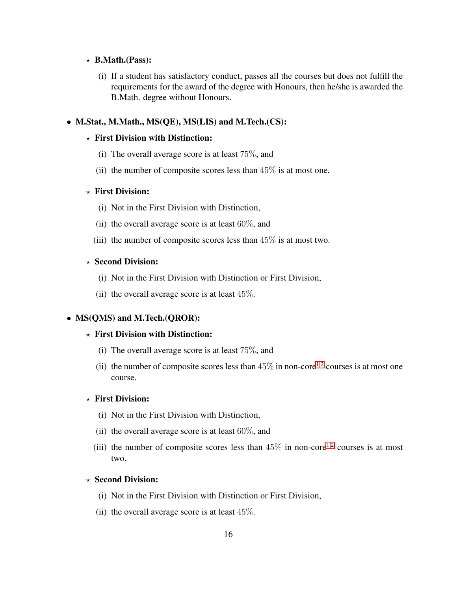#### $\star$  B.Math.(Pass):

(i) If a student has satisfactory conduct, passes all the courses but does not fulfill the requirements for the award of the degree with Honours, then he/she is awarded the B.Math. degree without Honours.

#### • M.Stat., M.Math., MS(QE), MS(LIS) and M.Tech.(CS):

#### $\star$  First Division with Distinction:

- (i) The overall average score is at least 75%, and
- (ii) the number of composite scores less than  $45\%$  is at most one.

#### $\star$  First Division:

- (i) Not in the First Division with Distinction,
- (ii) the overall average score is at least  $60\%$ , and
- (iii) the number of composite scores less than  $45\%$  is at most two.

#### $\star$  Second Division:

- (i) Not in the First Division with Distinction or First Division,
- (ii) the overall average score is at least 45%.

#### • MS(QMS) and M.Tech.(QROR):

#### $\star$  First Division with Distinction:

- (i) The overall average score is at least 75%, and
- (ii) the number of composite scores less than  $45\%$  in non-core<sup>[1,](#page-13-3)[2](#page-13-4)</sup> courses is at most one course.

#### $\star$  First Division:

- (i) Not in the First Division with Distinction,
- (ii) the overall average score is at least  $60\%$ , and
- (iii) the number of composite scores less than  $45\%$  in non-core<sup>[1](#page-13-3)[,2](#page-13-4)</sup> courses is at most two.

#### $\star$  Second Division:

- (i) Not in the First Division with Distinction or First Division,
- (ii) the overall average score is at least  $45\%$ .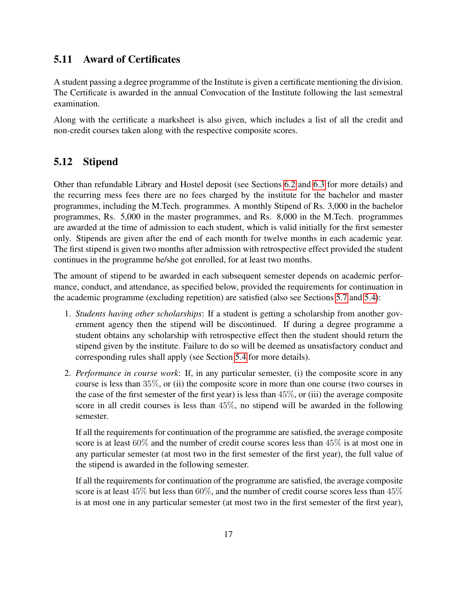## <span id="page-21-0"></span>5.11 Award of Certificates

A student passing a degree programme of the Institute is given a certificate mentioning the division. The Certificate is awarded in the annual Convocation of the Institute following the last semestral examination.

Along with the certificate a marksheet is also given, which includes a list of all the credit and non-credit courses taken along with the respective composite scores.

## <span id="page-21-1"></span>5.12 Stipend

Other than refundable Library and Hostel deposit (see Sections [6.2](#page-24-2) and [6.3](#page-24-3) for more details) and the recurring mess fees there are no fees charged by the institute for the bachelor and master programmes, including the M.Tech. programmes. A monthly Stipend of Rs. 3,000 in the bachelor programmes, Rs. 5,000 in the master programmes, and Rs. 8,000 in the M.Tech. programmes are awarded at the time of admission to each student, which is valid initially for the first semester only. Stipends are given after the end of each month for twelve months in each academic year. The first stipend is given two months after admission with retrospective effect provided the student continues in the programme he/she got enrolled, for at least two months.

The amount of stipend to be awarded in each subsequent semester depends on academic performance, conduct, and attendance, as specified below, provided the requirements for continuation in the academic programme (excluding repetition) are satisfied (also see Sections [5.7](#page-17-0) and [5.4\)](#page-12-2):

- 1. *Students having other scholarships*: If a student is getting a scholarship from another government agency then the stipend will be discontinued. If during a degree programme a student obtains any scholarship with retrospective effect then the student should return the stipend given by the institute. Failure to do so will be deemed as unsatisfactory conduct and corresponding rules shall apply (see Section [5.4](#page-12-2) for more details).
- 2. *Performance in course work*: If, in any particular semester, (i) the composite score in any course is less than 35%, or (ii) the composite score in more than one course (two courses in the case of the first semester of the first year) is less than  $45\%$ , or (iii) the average composite score in all credit courses is less than 45%, no stipend will be awarded in the following semester.

If all the requirements for continuation of the programme are satisfied, the average composite score is at least 60% and the number of credit course scores less than 45% is at most one in any particular semester (at most two in the first semester of the first year), the full value of the stipend is awarded in the following semester.

If all the requirements for continuation of the programme are satisfied, the average composite score is at least 45% but less than 60%, and the number of credit course scores less than 45% is at most one in any particular semester (at most two in the first semester of the first year),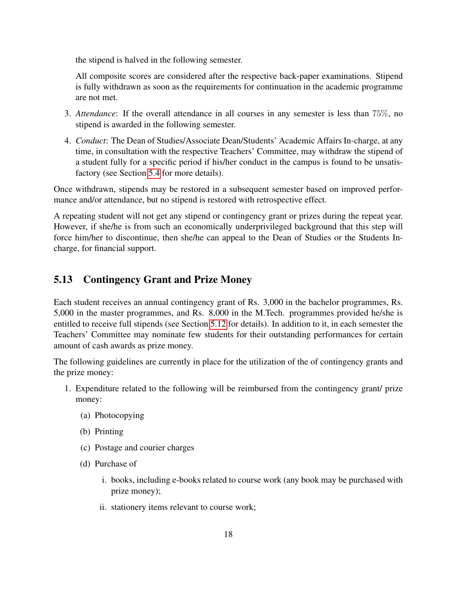the stipend is halved in the following semester.

All composite scores are considered after the respective back-paper examinations. Stipend is fully withdrawn as soon as the requirements for continuation in the academic programme are not met.

- 3. *Attendance*: If the overall attendance in all courses in any semester is less than 75%, no stipend is awarded in the following semester.
- 4. *Conduct*: The Dean of Studies/Associate Dean/Students' Academic Affairs In-charge, at any time, in consultation with the respective Teachers' Committee, may withdraw the stipend of a student fully for a specific period if his/her conduct in the campus is found to be unsatisfactory (see Section [5.4](#page-12-2) for more details).

Once withdrawn, stipends may be restored in a subsequent semester based on improved performance and/or attendance, but no stipend is restored with retrospective effect.

A repeating student will not get any stipend or contingency grant or prizes during the repeat year. However, if she/he is from such an economically underprivileged background that this step will force him/her to discontinue, then she/he can appeal to the Dean of Studies or the Students Incharge, for financial support.

## <span id="page-22-0"></span>5.13 Contingency Grant and Prize Money

Each student receives an annual contingency grant of Rs. 3,000 in the bachelor programmes, Rs. 5,000 in the master programmes, and Rs. 8,000 in the M.Tech. programmes provided he/she is entitled to receive full stipends (see Section [5.12](#page-21-1) for details). In addition to it, in each semester the Teachers' Committee may nominate few students for their outstanding performances for certain amount of cash awards as prize money.

The following guidelines are currently in place for the utilization of the of contingency grants and the prize money:

- 1. Expenditure related to the following will be reimbursed from the contingency grant/ prize money:
	- (a) Photocopying
	- (b) Printing
	- (c) Postage and courier charges
	- (d) Purchase of
		- i. books, including e-books related to course work (any book may be purchased with prize money);
		- ii. stationery items relevant to course work;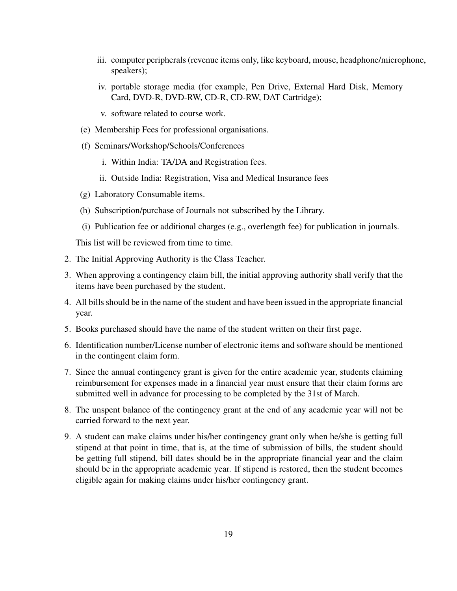- iii. computer peripherals (revenue items only, like keyboard, mouse, headphone/microphone, speakers);
- iv. portable storage media (for example, Pen Drive, External Hard Disk, Memory Card, DVD-R, DVD-RW, CD-R, CD-RW, DAT Cartridge);
- v. software related to course work.
- (e) Membership Fees for professional organisations.
- (f) Seminars/Workshop/Schools/Conferences
	- i. Within India: TA/DA and Registration fees.
	- ii. Outside India: Registration, Visa and Medical Insurance fees
- (g) Laboratory Consumable items.
- (h) Subscription/purchase of Journals not subscribed by the Library.
- (i) Publication fee or additional charges (e.g., overlength fee) for publication in journals.

This list will be reviewed from time to time.

- 2. The Initial Approving Authority is the Class Teacher.
- 3. When approving a contingency claim bill, the initial approving authority shall verify that the items have been purchased by the student.
- 4. All bills should be in the name of the student and have been issued in the appropriate financial year.
- 5. Books purchased should have the name of the student written on their first page.
- 6. Identification number/License number of electronic items and software should be mentioned in the contingent claim form.
- 7. Since the annual contingency grant is given for the entire academic year, students claiming reimbursement for expenses made in a financial year must ensure that their claim forms are submitted well in advance for processing to be completed by the 31st of March.
- 8. The unspent balance of the contingency grant at the end of any academic year will not be carried forward to the next year.
- 9. A student can make claims under his/her contingency grant only when he/she is getting full stipend at that point in time, that is, at the time of submission of bills, the student should be getting full stipend, bill dates should be in the appropriate financial year and the claim should be in the appropriate academic year. If stipend is restored, then the student becomes eligible again for making claims under his/her contingency grant.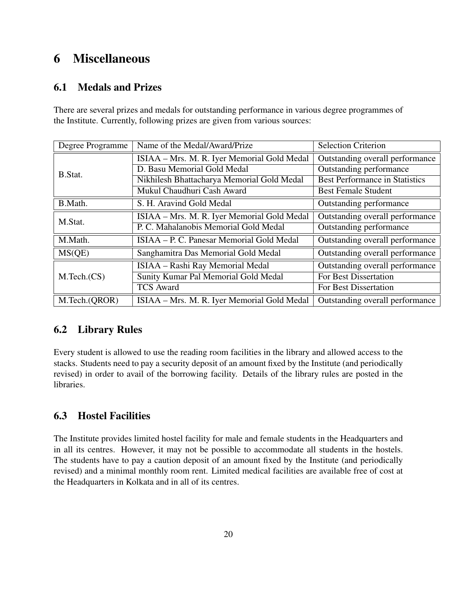## <span id="page-24-0"></span>6 Miscellaneous

## <span id="page-24-1"></span>6.1 Medals and Prizes

There are several prizes and medals for outstanding performance in various degree programmes of the Institute. Currently, following prizes are given from various sources:

| Degree Programme | Name of the Medal/Award/Prize               | <b>Selection Criterion</b>            |  |  |  |  |  |  |
|------------------|---------------------------------------------|---------------------------------------|--|--|--|--|--|--|
|                  | ISIAA - Mrs. M. R. Iyer Memorial Gold Medal | Outstanding overall performance       |  |  |  |  |  |  |
| B.Stat.          | D. Basu Memorial Gold Medal                 | Outstanding performance               |  |  |  |  |  |  |
|                  | Nikhilesh Bhattacharya Memorial Gold Medal  | <b>Best Performance in Statistics</b> |  |  |  |  |  |  |
|                  | Mukul Chaudhuri Cash Award                  | <b>Best Female Student</b>            |  |  |  |  |  |  |
| B.Math.          | S. H. Aravind Gold Medal                    | Outstanding performance               |  |  |  |  |  |  |
| M.Stat.          | ISIAA - Mrs. M. R. Iyer Memorial Gold Medal | Outstanding overall performance       |  |  |  |  |  |  |
|                  | P. C. Mahalanobis Memorial Gold Medal       | Outstanding performance               |  |  |  |  |  |  |
| M.Math.          | ISIAA – P. C. Panesar Memorial Gold Medal   | Outstanding overall performance       |  |  |  |  |  |  |
| MS(QE)           | Sanghamitra Das Memorial Gold Medal         | Outstanding overall performance       |  |  |  |  |  |  |
|                  | ISIAA - Rashi Ray Memorial Medal            | Outstanding overall performance       |  |  |  |  |  |  |
| M.Tech.(CS)      | <b>Sunity Kumar Pal Memorial Gold Medal</b> | <b>For Best Dissertation</b>          |  |  |  |  |  |  |
|                  | <b>TCS Award</b>                            | For Best Dissertation                 |  |  |  |  |  |  |
| M.Tech.(QROR)    | ISIAA – Mrs. M. R. Iyer Memorial Gold Medal | Outstanding overall performance       |  |  |  |  |  |  |

## <span id="page-24-2"></span>6.2 Library Rules

Every student is allowed to use the reading room facilities in the library and allowed access to the stacks. Students need to pay a security deposit of an amount fixed by the Institute (and periodically revised) in order to avail of the borrowing facility. Details of the library rules are posted in the libraries.

## <span id="page-24-3"></span>6.3 Hostel Facilities

The Institute provides limited hostel facility for male and female students in the Headquarters and in all its centres. However, it may not be possible to accommodate all students in the hostels. The students have to pay a caution deposit of an amount fixed by the Institute (and periodically revised) and a minimal monthly room rent. Limited medical facilities are available free of cost at the Headquarters in Kolkata and in all of its centres.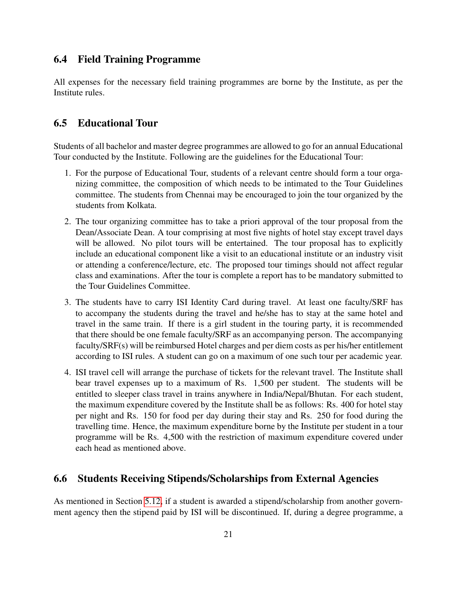### <span id="page-25-0"></span>6.4 Field Training Programme

All expenses for the necessary field training programmes are borne by the Institute, as per the Institute rules.

### <span id="page-25-1"></span>6.5 Educational Tour

Students of all bachelor and master degree programmes are allowed to go for an annual Educational Tour conducted by the Institute. Following are the guidelines for the Educational Tour:

- 1. For the purpose of Educational Tour, students of a relevant centre should form a tour organizing committee, the composition of which needs to be intimated to the Tour Guidelines committee. The students from Chennai may be encouraged to join the tour organized by the students from Kolkata.
- 2. The tour organizing committee has to take a priori approval of the tour proposal from the Dean/Associate Dean. A tour comprising at most five nights of hotel stay except travel days will be allowed. No pilot tours will be entertained. The tour proposal has to explicitly include an educational component like a visit to an educational institute or an industry visit or attending a conference/lecture, etc. The proposed tour timings should not affect regular class and examinations. After the tour is complete a report has to be mandatory submitted to the Tour Guidelines Committee.
- 3. The students have to carry ISI Identity Card during travel. At least one faculty/SRF has to accompany the students during the travel and he/she has to stay at the same hotel and travel in the same train. If there is a girl student in the touring party, it is recommended that there should be one female faculty/SRF as an accompanying person. The accompanying faculty/SRF(s) will be reimbursed Hotel charges and per diem costs as per his/her entitlement according to ISI rules. A student can go on a maximum of one such tour per academic year.
- 4. ISI travel cell will arrange the purchase of tickets for the relevant travel. The Institute shall bear travel expenses up to a maximum of Rs. 1,500 per student. The students will be entitled to sleeper class travel in trains anywhere in India/Nepal/Bhutan. For each student, the maximum expenditure covered by the Institute shall be as follows: Rs. 400 for hotel stay per night and Rs. 150 for food per day during their stay and Rs. 250 for food during the travelling time. Hence, the maximum expenditure borne by the Institute per student in a tour programme will be Rs. 4,500 with the restriction of maximum expenditure covered under each head as mentioned above.

## <span id="page-25-2"></span>6.6 Students Receiving Stipends/Scholarships from External Agencies

As mentioned in Section [5.12,](#page-21-1) if a student is awarded a stipend/scholarship from another government agency then the stipend paid by ISI will be discontinued. If, during a degree programme, a